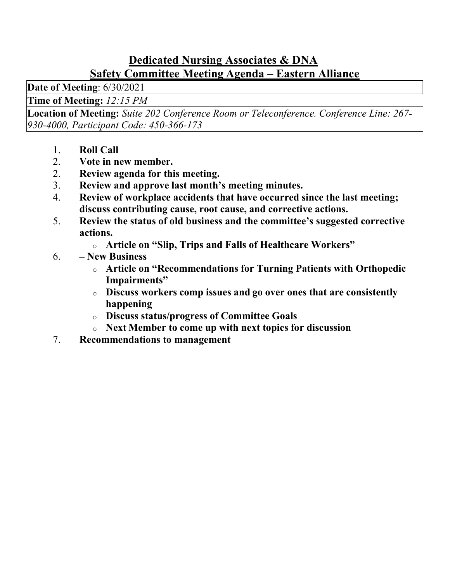#### Dedicated Nursing Associates & DNA Safety Committee Meeting Agenda – Eastern Alliance

Date of Meeting: 6/30/2021

Time of Meeting: 12:15 PM

Location of Meeting: Suite 202 Conference Room or Teleconference. Conference Line: 267- 930-4000, Participant Code: 450-366-173

- 1. Roll Call
- 2. Vote in new member.
- 2. Review agenda for this meeting.
- 3. Review and approve last month's meeting minutes.
- 4. Review of workplace accidents that have occurred since the last meeting; discuss contributing cause, root cause, and corrective actions.
- 5. Review the status of old business and the committee's suggested corrective actions.
	- o Article on "Slip, Trips and Falls of Healthcare Workers"
- 6. New Business
	- o Article on "Recommendations for Turning Patients with Orthopedic Impairments"
	- o Discuss workers comp issues and go over ones that are consistently happening
	- o Discuss status/progress of Committee Goals
	- o Next Member to come up with next topics for discussion
- 7. Recommendations to management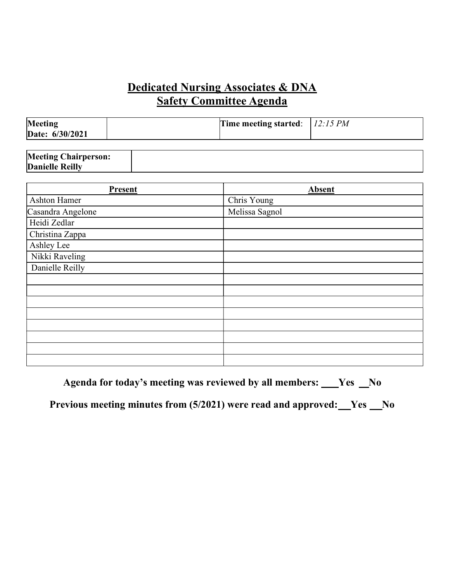### Dedicated Nursing Associates & DNA  Safety Committee Agenda

| <b>Meeting</b><br>Date: 6/30/2021 | Time meeting started: $12:15 PM$ |  |
|-----------------------------------|----------------------------------|--|
| $M_{\text{e}}$                    |                                  |  |

| <b>Meeting Chairperson:</b> |  |
|-----------------------------|--|
| <b>Danielle Reilly</b>      |  |

| <b>Present</b>      | <b>Absent</b>  |
|---------------------|----------------|
| <b>Ashton Hamer</b> | Chris Young    |
| Casandra Angelone   | Melissa Sagnol |
| Heidi Zedlar        |                |
| Christina Zappa     |                |
| Ashley Lee          |                |
| Nikki Raveling      |                |
| Danielle Reilly     |                |
|                     |                |
|                     |                |
|                     |                |
|                     |                |
|                     |                |
|                     |                |
|                     |                |
|                     |                |

Agenda for today's meeting was reviewed by all members: \_\_\_Yes \_No

Previous meeting minutes from  $(5/2021)$  were read and approved:  $Yes$  No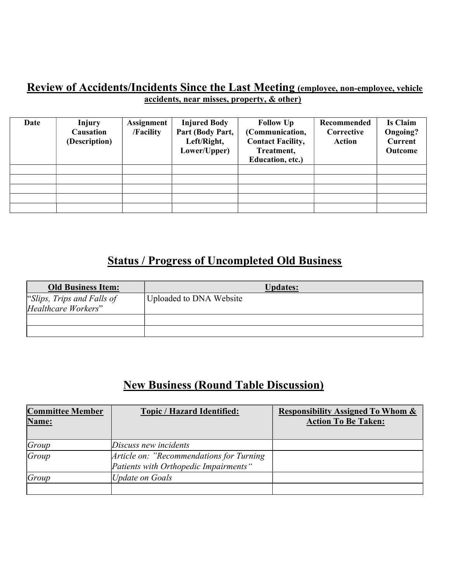#### Review of Accidents/Incidents Since the Last Meeting (employee, non-employee, vehicle accidents, near misses, property, & other)

| Date | <b>Injury</b><br><b>Causation</b><br>(Description) | <b>Assignment</b><br>/Facility | <b>Injured Body</b><br>Part (Body Part,<br>Left/Right,<br>Lower/Upper) | <b>Follow Up</b><br>(Communication,<br><b>Contact Facility,</b><br>Treatment,<br>Education, etc.) | Recommended<br>Corrective<br><b>Action</b> | <b>Is Claim</b><br>Ongoing?<br><b>Current</b><br>Outcome |
|------|----------------------------------------------------|--------------------------------|------------------------------------------------------------------------|---------------------------------------------------------------------------------------------------|--------------------------------------------|----------------------------------------------------------|
|      |                                                    |                                |                                                                        |                                                                                                   |                                            |                                                          |
|      |                                                    |                                |                                                                        |                                                                                                   |                                            |                                                          |
|      |                                                    |                                |                                                                        |                                                                                                   |                                            |                                                          |
|      |                                                    |                                |                                                                        |                                                                                                   |                                            |                                                          |
|      |                                                    |                                |                                                                        |                                                                                                   |                                            |                                                          |

# Status / Progress of Uncompleted Old Business

| <b>Old Business Item:</b>  | <b>Updates:</b>         |
|----------------------------|-------------------------|
| "Slips, Trips and Falls of | Uploaded to DNA Website |
| Healthcare Workers"        |                         |
|                            |                         |
|                            |                         |

# New Business (Round Table Discussion)

| <b>Committee Member</b> | <b>Topic / Hazard Identified:</b>         | <b>Responsibility Assigned To Whom &amp;</b> |
|-------------------------|-------------------------------------------|----------------------------------------------|
| Name:                   |                                           | <b>Action To Be Taken:</b>                   |
|                         |                                           |                                              |
| Group                   | Discuss new incidents                     |                                              |
| Group                   | Article on: "Recommendations for Turning" |                                              |
|                         | Patients with Orthopedic Impairments"     |                                              |
| Group                   | <b>Update on Goals</b>                    |                                              |
|                         |                                           |                                              |